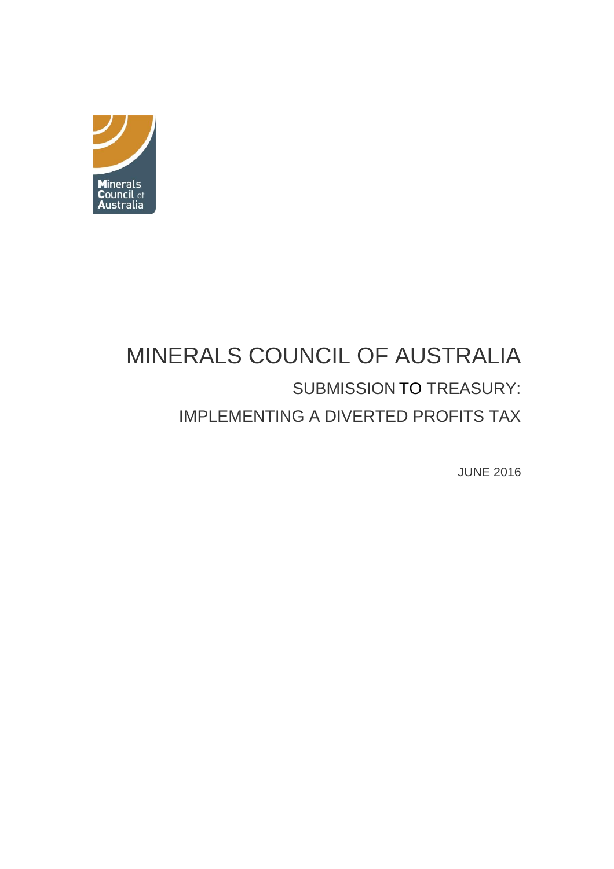

# MINERALS COUNCIL OF AUSTRALIA SUBMISSION TO TREASURY: IMPLEMENTING A DIVERTED PROFITS TAX

JUNE 2016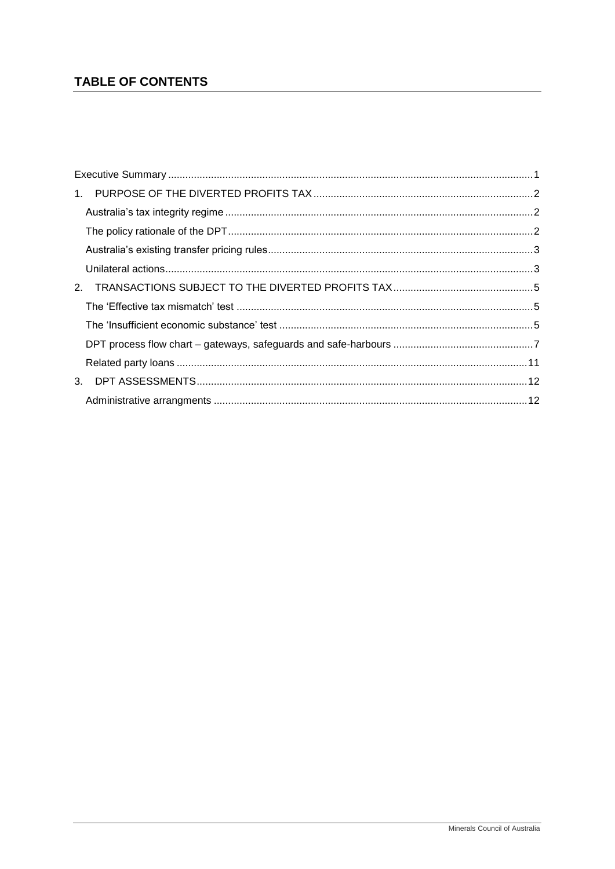## TABLE OF CONTENTS

| 2. |  |
|----|--|
|    |  |
|    |  |
|    |  |
|    |  |
|    |  |
|    |  |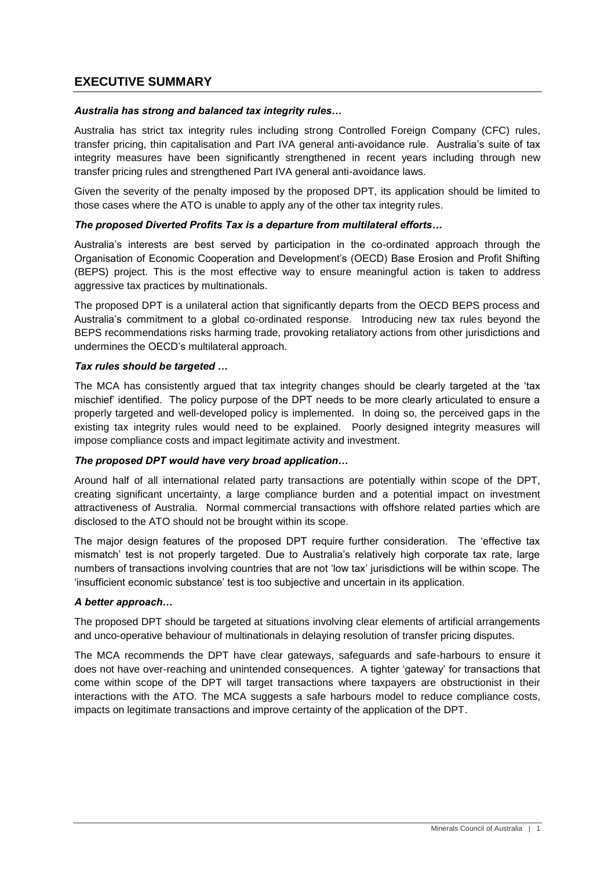### <span id="page-2-0"></span>**EXECUTIVE SUMMARY**

#### *Australia has strong and balanced tax integrity rules…*

Australia has strict tax integrity rules including strong Controlled Foreign Company (CFC) rules, transfer pricing, thin capitalisation and Part IVA general anti-avoidance rule. Australia's suite of tax integrity measures have been significantly strengthened in recent years including through new transfer pricing rules and strengthened Part IVA general anti-avoidance laws.

Given the severity of the penalty imposed by the proposed DPT, its application should be limited to those cases where the ATO is unable to apply any of the other tax integrity rules.

#### *The proposed Diverted Profits Tax is a departure from multilateral efforts…*

Australia's interests are best served by participation in the co-ordinated approach through the Organisation of Economic Cooperation and Development's (OECD) Base Erosion and Profit Shifting (BEPS) project. This is the most effective way to ensure meaningful action is taken to address aggressive tax practices by multinationals.

The proposed DPT is a unilateral action that significantly departs from the OECD BEPS process and Australia's commitment to a global co-ordinated response. Introducing new tax rules beyond the BEPS recommendations risks harming trade, provoking retaliatory actions from other jurisdictions and undermines the OECD's multilateral approach.

#### *Tax rules should be targeted …*

The MCA has consistently argued that tax integrity changes should be clearly targeted at the 'tax mischief' identified. The policy purpose of the DPT needs to be more clearly articulated to ensure a properly targeted and well-developed policy is implemented. In doing so, the perceived gaps in the existing tax integrity rules would need to be explained. Poorly designed integrity measures will impose compliance costs and impact legitimate activity and investment.

#### *The proposed DPT would have very broad application…*

Around half of all international related party transactions are potentially within scope of the DPT, creating significant uncertainty, a large compliance burden and a potential impact on investment attractiveness of Australia. Normal commercial transactions with offshore related parties which are disclosed to the ATO should not be brought within its scope.

The major design features of the proposed DPT require further consideration. The 'effective tax mismatch' test is not properly targeted. Due to Australia's relatively high corporate tax rate, large numbers of transactions involving countries that are not 'low tax' jurisdictions will be within scope. The 'insufficient economic substance' test is too subjective and uncertain in its application.

#### *A better approach…*

The proposed DPT should be targeted at situations involving clear elements of artificial arrangements and unco-operative behaviour of multinationals in delaying resolution of transfer pricing disputes.

The MCA recommends the DPT have clear gateways, safeguards and safe-harbours to ensure it does not have over-reaching and unintended consequences. A tighter 'gateway' for transactions that come within scope of the DPT will target transactions where taxpayers are obstructionist in their interactions with the ATO. The MCA suggests a safe harbours model to reduce compliance costs, impacts on legitimate transactions and improve certainty of the application of the DPT.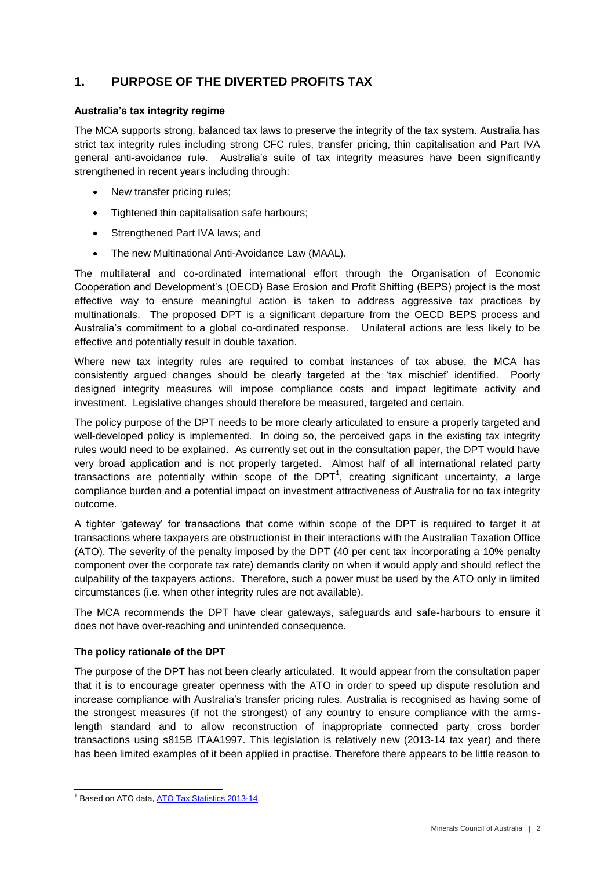## <span id="page-3-0"></span>**1. PURPOSE OF THE DIVERTED PROFITS TAX**

#### <span id="page-3-1"></span>**Australia's tax integrity regime**

The MCA supports strong, balanced tax laws to preserve the integrity of the tax system. Australia has strict tax integrity rules including strong CFC rules, transfer pricing, thin capitalisation and Part IVA general anti-avoidance rule. Australia's suite of tax integrity measures have been significantly strengthened in recent years including through:

- New transfer pricing rules;
- Tightened thin capitalisation safe harbours:
- Strengthened Part IVA laws; and
- The new Multinational Anti-Avoidance Law (MAAL).

The multilateral and co-ordinated international effort through the Organisation of Economic Cooperation and Development's (OECD) Base Erosion and Profit Shifting (BEPS) project is the most effective way to ensure meaningful action is taken to address aggressive tax practices by multinationals. The proposed DPT is a significant departure from the OECD BEPS process and Australia's commitment to a global co-ordinated response. Unilateral actions are less likely to be effective and potentially result in double taxation.

Where new tax integrity rules are required to combat instances of tax abuse, the MCA has consistently argued changes should be clearly targeted at the 'tax mischief' identified. Poorly designed integrity measures will impose compliance costs and impact legitimate activity and investment. Legislative changes should therefore be measured, targeted and certain.

The policy purpose of the DPT needs to be more clearly articulated to ensure a properly targeted and well-developed policy is implemented. In doing so, the perceived gaps in the existing tax integrity rules would need to be explained. As currently set out in the consultation paper, the DPT would have very broad application and is not properly targeted. Almost half of all international related party transactions are potentially within scope of the DPT<sup>1</sup>, creating significant uncertainty, a large compliance burden and a potential impact on investment attractiveness of Australia for no tax integrity outcome.

A tighter 'gateway' for transactions that come within scope of the DPT is required to target it at transactions where taxpayers are obstructionist in their interactions with the Australian Taxation Office (ATO). The severity of the penalty imposed by the DPT (40 per cent tax incorporating a 10% penalty component over the corporate tax rate) demands clarity on when it would apply and should reflect the culpability of the taxpayers actions. Therefore, such a power must be used by the ATO only in limited circumstances (i.e. when other integrity rules are not available).

The MCA recommends the DPT have clear gateways, safeguards and safe-harbours to ensure it does not have over-reaching and unintended consequence.

#### <span id="page-3-2"></span>**The policy rationale of the DPT**

The purpose of the DPT has not been clearly articulated. It would appear from the consultation paper that it is to encourage greater openness with the ATO in order to speed up dispute resolution and increase compliance with Australia's transfer pricing rules. Australia is recognised as having some of the strongest measures (if not the strongest) of any country to ensure compliance with the armslength standard and to allow reconstruction of inappropriate connected party cross border transactions using s815B ITAA1997. This legislation is relatively new (2013-14 tax year) and there has been limited examples of it been applied in practise. Therefore there appears to be little reason to

1

<sup>&</sup>lt;sup>1</sup> Based on ATO data, ATO Tax Statistics 2013-14.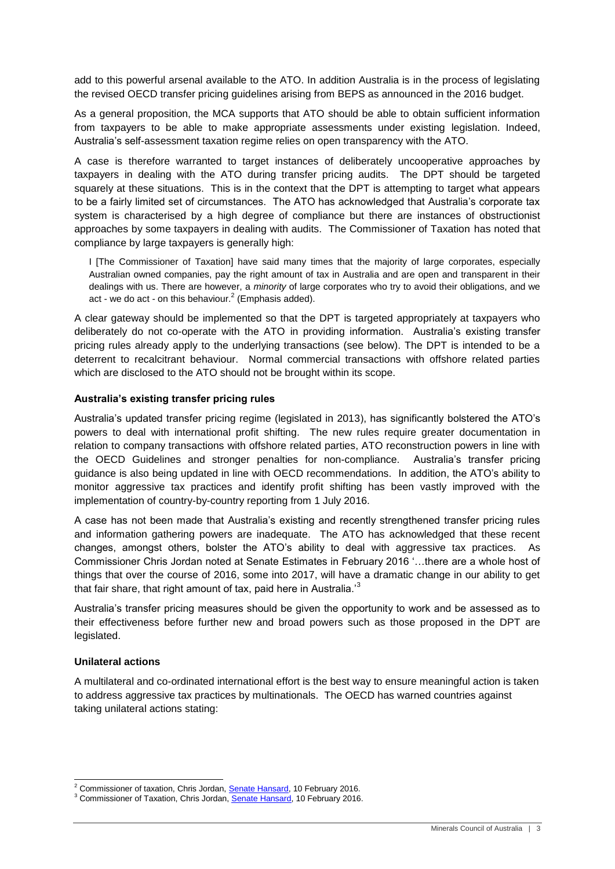add to this powerful arsenal available to the ATO. In addition Australia is in the process of legislating the revised OECD transfer pricing guidelines arising from BEPS as announced in the 2016 budget.

As a general proposition, the MCA supports that ATO should be able to obtain sufficient information from taxpayers to be able to make appropriate assessments under existing legislation. Indeed, Australia's self-assessment taxation regime relies on open transparency with the ATO.

A case is therefore warranted to target instances of deliberately uncooperative approaches by taxpayers in dealing with the ATO during transfer pricing audits. The DPT should be targeted squarely at these situations. This is in the context that the DPT is attempting to target what appears to be a fairly limited set of circumstances. The ATO has acknowledged that Australia's corporate tax system is characterised by a high degree of compliance but there are instances of obstructionist approaches by some taxpayers in dealing with audits. The Commissioner of Taxation has noted that compliance by large taxpayers is generally high:

I [The Commissioner of Taxation] have said many times that the majority of large corporates, especially Australian owned companies, pay the right amount of tax in Australia and are open and transparent in their dealings with us. There are however, a *minority* of large corporates who try to avoid their obligations, and we act - we do act - on this behaviour.<sup>2</sup> (Emphasis added).

A clear gateway should be implemented so that the DPT is targeted appropriately at taxpayers who deliberately do not co-operate with the ATO in providing information. Australia's existing transfer pricing rules already apply to the underlying transactions (see below). The DPT is intended to be a deterrent to recalcitrant behaviour. Normal commercial transactions with offshore related parties which are disclosed to the ATO should not be brought within its scope.

#### <span id="page-4-0"></span>**Australia's existing transfer pricing rules**

Australia's updated transfer pricing regime (legislated in 2013), has significantly bolstered the ATO's powers to deal with international profit shifting. The new rules require greater documentation in relation to company transactions with offshore related parties, ATO reconstruction powers in line with the OECD Guidelines and stronger penalties for non-compliance. Australia's transfer pricing guidance is also being updated in line with OECD recommendations. In addition, the ATO's ability to monitor aggressive tax practices and identify profit shifting has been vastly improved with the implementation of country-by-country reporting from 1 July 2016.

A case has not been made that Australia's existing and recently strengthened transfer pricing rules and information gathering powers are inadequate. The ATO has acknowledged that these recent changes, amongst others, bolster the ATO's ability to deal with aggressive tax practices. As Commissioner Chris Jordan noted at Senate Estimates in February 2016 '…there are a whole host of things that over the course of 2016, some into 2017, will have a dramatic change in our ability to get that fair share, that right amount of tax, paid here in Australia.<sup>3</sup>

Australia's transfer pricing measures should be given the opportunity to work and be assessed as to their effectiveness before further new and broad powers such as those proposed in the DPT are legislated.

#### <span id="page-4-1"></span>**Unilateral actions**

-

A multilateral and co-ordinated international effort is the best way to ensure meaningful action is taken to address aggressive tax practices by multinationals. The OECD has warned countries against taking unilateral actions stating:

<sup>&</sup>lt;sup>2</sup> Commissioner of taxation, Chris Jordan[, Senate Hansard,](http://parlinfo.aph.gov.au/parlInfo/search/display/display.w3p;query=Id%3A%22committees%2Festimate%2Feba7c1f2-c22b-4b51-b66f-ed473b45b953%2F0006%22) 10 February 2016.

<sup>&</sup>lt;sup>3</sup> Commissioner of Taxation, Chris Jordan, [Senate Hansard,](http://parlinfo.aph.gov.au/parlInfo/search/display/display.w3p;query=Id%3A%22committees%2Festimate%2Feba7c1f2-c22b-4b51-b66f-ed473b45b953%2F0006%22) 10 February 2016.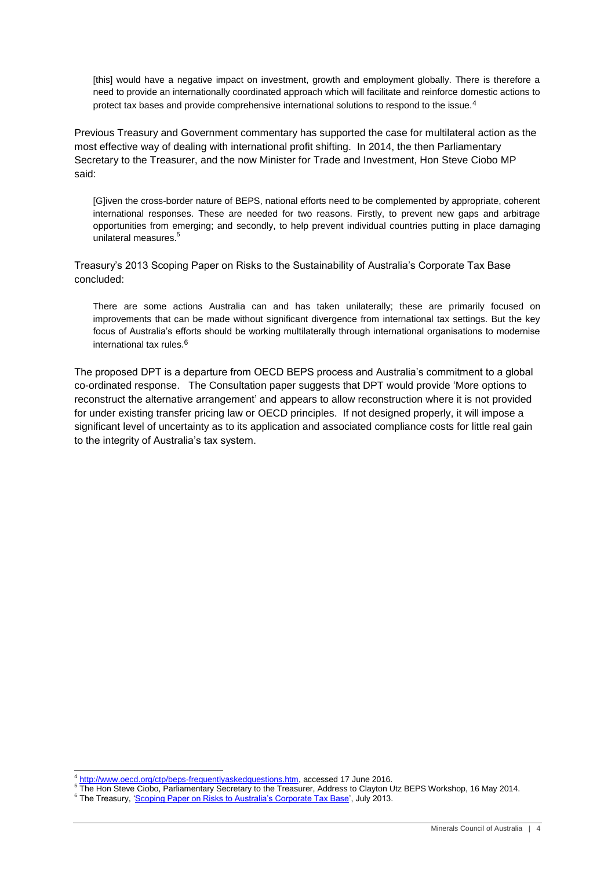[this] would have a negative impact on investment, growth and employment globally. There is therefore a need to provide an internationally coordinated approach which will facilitate and reinforce domestic actions to protect tax bases and provide comprehensive international solutions to respond to the issue.<sup>4</sup>

Previous Treasury and Government commentary has supported the case for multilateral action as the most effective way of dealing with international profit shifting. In 2014, the then Parliamentary Secretary to the Treasurer, and the now Minister for Trade and Investment, Hon Steve Ciobo MP said:

[G]iven the cross-border nature of BEPS, national efforts need to be complemented by appropriate, coherent international responses. These are needed for two reasons. Firstly, to prevent new gaps and arbitrage opportunities from emerging; and secondly, to help prevent individual countries putting in place damaging unilateral measures. 5

Treasury's 2013 Scoping Paper on Risks to the Sustainability of Australia's Corporate Tax Base concluded:

There are some actions Australia can and has taken unilaterally; these are primarily focused on improvements that can be made without significant divergence from international tax settings. But the key focus of Australia's efforts should be working multilaterally through international organisations to modernise international tax rules.<sup>6</sup>

The proposed DPT is a departure from OECD BEPS process and Australia's commitment to a global co-ordinated response. The Consultation paper suggests that DPT would provide 'More options to reconstruct the alternative arrangement' and appears to allow reconstruction where it is not provided for under existing transfer pricing law or OECD principles. If not designed properly, it will impose a significant level of uncertainty as to its application and associated compliance costs for little real gain to the integrity of Australia's tax system.

<sup>1</sup> <sup>4</sup> [http://www.oecd.org/ctp/beps-frequentlyaskedquestions.htm,](http://www.oecd.org/ctp/beps-frequentlyaskedquestions.htm) accessed 17 June 2016.

<sup>5</sup> The Hon Steve Ciobo, Parliamentary Secretary to the Treasurer, Address to Clayton Utz BEPS Workshop, 16 May 2014.

<sup>&</sup>lt;sup>6</sup> The Treasury, ['Scoping Paper on Risks to Australia's Corporate Tax Base',](http://www.treasury.gov.au/~/media/Treasury/Publications%20and%20Media/Publications/2013/Aus%20Corporate%20Tax%20Base%20Sustainability/Downloads/PDF/BEPSscoping_paper.ashx) July 2013.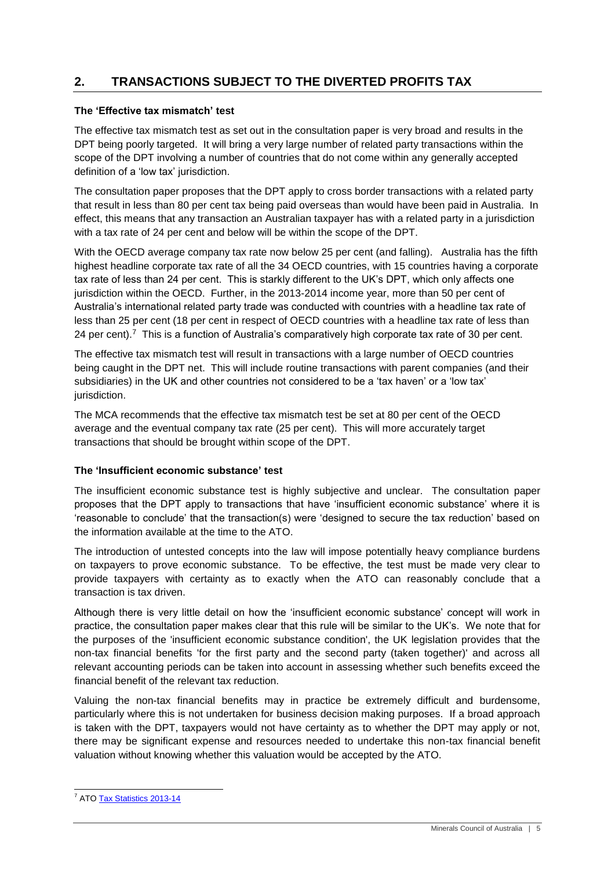## <span id="page-6-0"></span>**2. TRANSACTIONS SUBJECT TO THE DIVERTED PROFITS TAX**

#### <span id="page-6-1"></span>**The 'Effective tax mismatch' test**

The effective tax mismatch test as set out in the consultation paper is very broad and results in the DPT being poorly targeted. It will bring a very large number of related party transactions within the scope of the DPT involving a number of countries that do not come within any generally accepted definition of a 'low tax' jurisdiction.

The consultation paper proposes that the DPT apply to cross border transactions with a related party that result in less than 80 per cent tax being paid overseas than would have been paid in Australia. In effect, this means that any transaction an Australian taxpayer has with a related party in a jurisdiction with a tax rate of 24 per cent and below will be within the scope of the DPT.

With the OECD average company tax rate now below 25 per cent (and falling). Australia has the fifth highest headline corporate tax rate of all the 34 OECD countries, with 15 countries having a corporate tax rate of less than 24 per cent. This is starkly different to the UK's DPT, which only affects one jurisdiction within the OECD. Further, in the 2013-2014 income year, more than 50 per cent of Australia's international related party trade was conducted with countries with a headline tax rate of less than 25 per cent (18 per cent in respect of OECD countries with a headline tax rate of less than 24 per cent).<sup>7</sup> This is a function of Australia's comparatively high corporate tax rate of 30 per cent.

The effective tax mismatch test will result in transactions with a large number of OECD countries being caught in the DPT net. This will include routine transactions with parent companies (and their subsidiaries) in the UK and other countries not considered to be a 'tax haven' or a 'low tax' jurisdiction.

The MCA recommends that the effective tax mismatch test be set at 80 per cent of the OECD average and the eventual company tax rate (25 per cent). This will more accurately target transactions that should be brought within scope of the DPT.

#### <span id="page-6-2"></span>**The 'Insufficient economic substance' test**

The insufficient economic substance test is highly subjective and unclear. The consultation paper proposes that the DPT apply to transactions that have 'insufficient economic substance' where it is 'reasonable to conclude' that the transaction(s) were 'designed to secure the tax reduction' based on the information available at the time to the ATO.

The introduction of untested concepts into the law will impose potentially heavy compliance burdens on taxpayers to prove economic substance. To be effective, the test must be made very clear to provide taxpayers with certainty as to exactly when the ATO can reasonably conclude that a transaction is tax driven.

Although there is very little detail on how the 'insufficient economic substance' concept will work in practice, the consultation paper makes clear that this rule will be similar to the UK's. We note that for the purposes of the 'insufficient economic substance condition', the UK legislation provides that the non-tax financial benefits 'for the first party and the second party (taken together)' and across all relevant accounting periods can be taken into account in assessing whether such benefits exceed the financial benefit of the relevant tax reduction.

Valuing the non-tax financial benefits may in practice be extremely difficult and burdensome, particularly where this is not undertaken for business decision making purposes. If a broad approach is taken with the DPT, taxpayers would not have certainty as to whether the DPT may apply or not, there may be significant expense and resources needed to undertake this non-tax financial benefit valuation without knowing whether this valuation would be accepted by the ATO.

<sup>1</sup> <sup>7</sup> ATO **Tax Statistics 2013-14**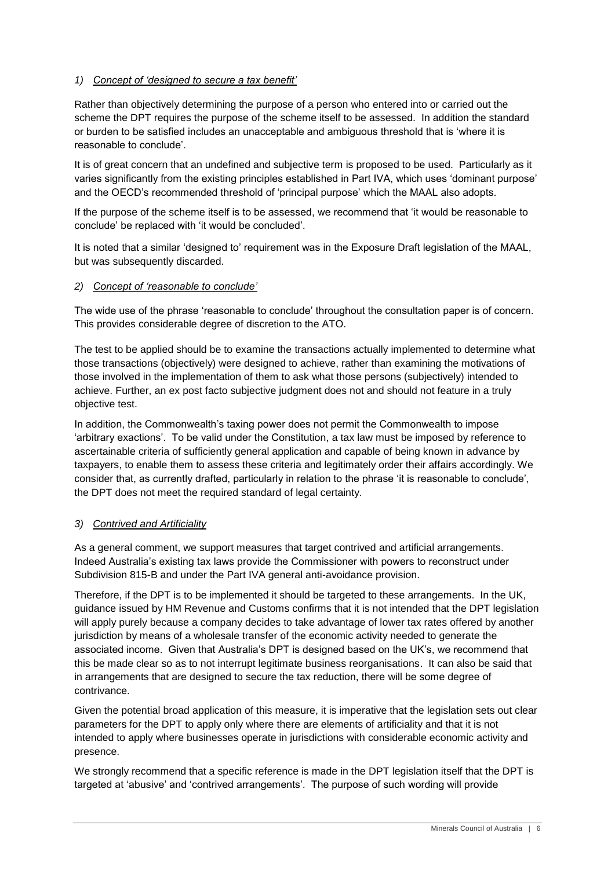#### *1) Concept of 'designed to secure a tax benefit'*

Rather than objectively determining the purpose of a person who entered into or carried out the scheme the DPT requires the purpose of the scheme itself to be assessed. In addition the standard or burden to be satisfied includes an unacceptable and ambiguous threshold that is 'where it is reasonable to conclude'.

It is of great concern that an undefined and subjective term is proposed to be used. Particularly as it varies significantly from the existing principles established in Part IVA, which uses 'dominant purpose' and the OECD's recommended threshold of 'principal purpose' which the MAAL also adopts.

If the purpose of the scheme itself is to be assessed, we recommend that 'it would be reasonable to conclude' be replaced with 'it would be concluded'.

It is noted that a similar 'designed to' requirement was in the Exposure Draft legislation of the MAAL, but was subsequently discarded.

#### *2) Concept of 'reasonable to conclude'*

The wide use of the phrase 'reasonable to conclude' throughout the consultation paper is of concern. This provides considerable degree of discretion to the ATO.

The test to be applied should be to examine the transactions actually implemented to determine what those transactions (objectively) were designed to achieve, rather than examining the motivations of those involved in the implementation of them to ask what those persons (subjectively) intended to achieve. Further, an ex post facto subjective judgment does not and should not feature in a truly objective test.

In addition, the Commonwealth's taxing power does not permit the Commonwealth to impose 'arbitrary exactions'. To be valid under the Constitution, a tax law must be imposed by reference to ascertainable criteria of sufficiently general application and capable of being known in advance by taxpayers, to enable them to assess these criteria and legitimately order their affairs accordingly. We consider that, as currently drafted, particularly in relation to the phrase 'it is reasonable to conclude', the DPT does not meet the required standard of legal certainty.

#### *3) Contrived and Artificiality*

As a general comment, we support measures that target contrived and artificial arrangements. Indeed Australia's existing tax laws provide the Commissioner with powers to reconstruct under Subdivision 815-B and under the Part IVA general anti-avoidance provision.

Therefore, if the DPT is to be implemented it should be targeted to these arrangements. In the UK, guidance issued by HM Revenue and Customs confirms that it is not intended that the DPT legislation will apply purely because a company decides to take advantage of lower tax rates offered by another jurisdiction by means of a wholesale transfer of the economic activity needed to generate the associated income. Given that Australia's DPT is designed based on the UK's, we recommend that this be made clear so as to not interrupt legitimate business reorganisations. It can also be said that in arrangements that are designed to secure the tax reduction, there will be some degree of contrivance.

Given the potential broad application of this measure, it is imperative that the legislation sets out clear parameters for the DPT to apply only where there are elements of artificiality and that it is not intended to apply where businesses operate in jurisdictions with considerable economic activity and presence.

We strongly recommend that a specific reference is made in the DPT legislation itself that the DPT is targeted at 'abusive' and 'contrived arrangements'. The purpose of such wording will provide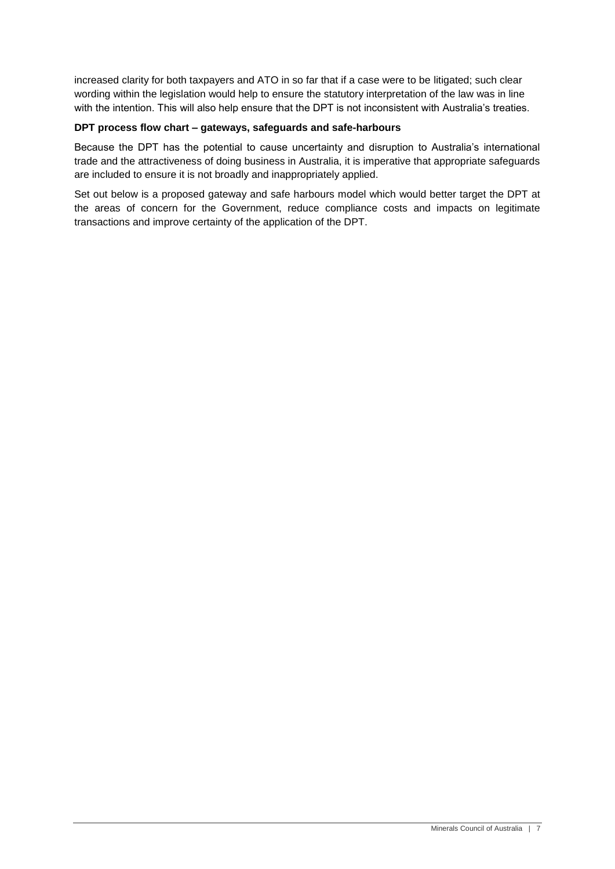increased clarity for both taxpayers and ATO in so far that if a case were to be litigated; such clear wording within the legislation would help to ensure the statutory interpretation of the law was in line with the intention. This will also help ensure that the DPT is not inconsistent with Australia's treaties.

#### <span id="page-8-0"></span>**DPT process flow chart – gateways, safeguards and safe-harbours**

Because the DPT has the potential to cause uncertainty and disruption to Australia's international trade and the attractiveness of doing business in Australia, it is imperative that appropriate safeguards are included to ensure it is not broadly and inappropriately applied.

Set out below is a proposed gateway and safe harbours model which would better target the DPT at the areas of concern for the Government, reduce compliance costs and impacts on legitimate transactions and improve certainty of the application of the DPT.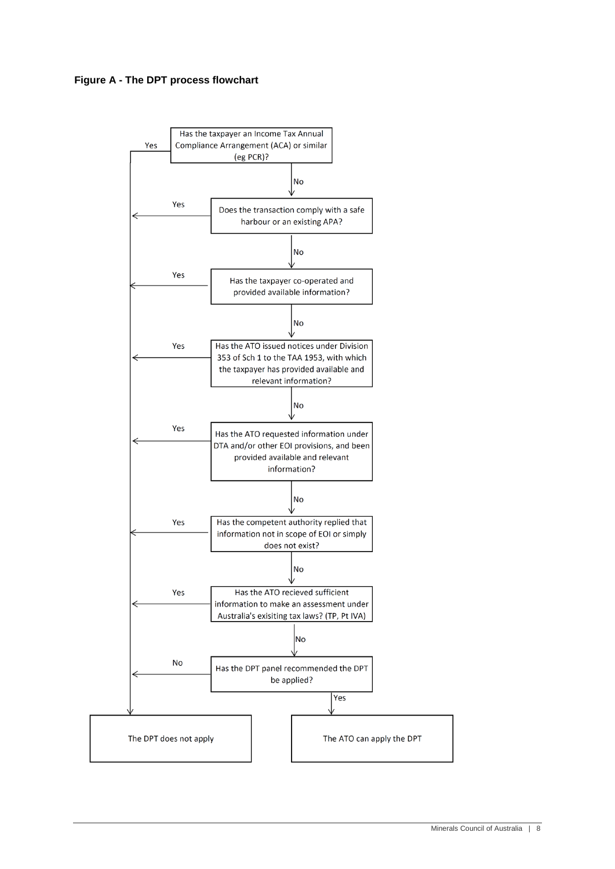

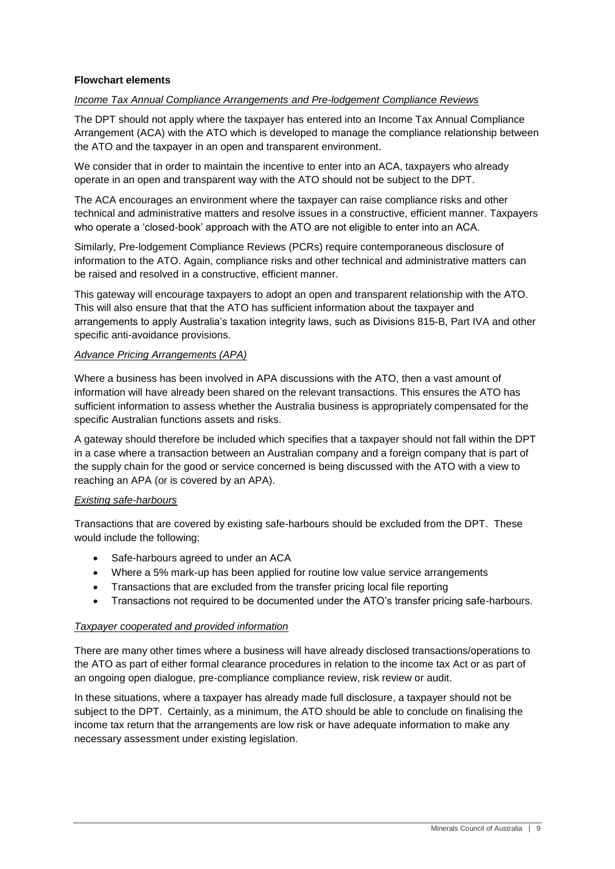#### **Flowchart elements**

#### *Income Tax Annual Compliance Arrangements and Pre-lodgement Compliance Reviews*

The DPT should not apply where the taxpayer has entered into an Income Tax Annual Compliance Arrangement (ACA) with the ATO which is developed to manage the compliance relationship between the ATO and the taxpayer in an open and transparent environment.

We consider that in order to maintain the incentive to enter into an ACA, taxpayers who already operate in an open and transparent way with the ATO should not be subject to the DPT.

The ACA encourages an environment where the taxpayer can raise compliance risks and other technical and administrative matters and resolve issues in a constructive, efficient manner. Taxpayers who operate a 'closed-book' approach with the ATO are not eligible to enter into an ACA.

Similarly, Pre-lodgement Compliance Reviews (PCRs) require contemporaneous disclosure of information to the ATO. Again, compliance risks and other technical and administrative matters can be raised and resolved in a constructive, efficient manner.

This gateway will encourage taxpayers to adopt an open and transparent relationship with the ATO. This will also ensure that that the ATO has sufficient information about the taxpayer and arrangements to apply Australia's taxation integrity laws, such as Divisions 815-B, Part IVA and other specific anti-avoidance provisions.

#### *Advance Pricing Arrangements (APA)*

Where a business has been involved in APA discussions with the ATO, then a vast amount of information will have already been shared on the relevant transactions. This ensures the ATO has sufficient information to assess whether the Australia business is appropriately compensated for the specific Australian functions assets and risks.

A gateway should therefore be included which specifies that a taxpayer should not fall within the DPT in a case where a transaction between an Australian company and a foreign company that is part of the supply chain for the good or service concerned is being discussed with the ATO with a view to reaching an APA (or is covered by an APA).

#### *Existing safe-harbours*

Transactions that are covered by existing safe-harbours should be excluded from the DPT. These would include the following:

- Safe-harbours agreed to under an ACA
- Where a 5% mark-up has been applied for routine low value service arrangements
- Transactions that are excluded from the transfer pricing local file reporting
- Transactions not required to be documented under the ATO's transfer pricing safe-harbours.

#### *Taxpayer cooperated and provided information*

There are many other times where a business will have already disclosed transactions/operations to the ATO as part of either formal clearance procedures in relation to the income tax Act or as part of an ongoing open dialogue, pre-compliance compliance review, risk review or audit.

In these situations, where a taxpayer has already made full disclosure, a taxpayer should not be subject to the DPT. Certainly, as a minimum, the ATO should be able to conclude on finalising the income tax return that the arrangements are low risk or have adequate information to make any necessary assessment under existing legislation.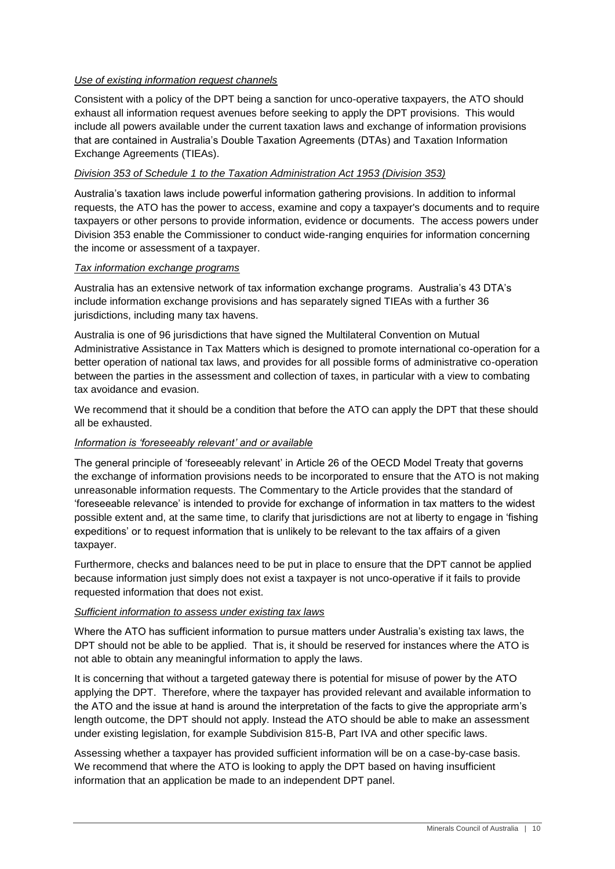#### *Use of existing information request channels*

Consistent with a policy of the DPT being a sanction for unco-operative taxpayers, the ATO should exhaust all information request avenues before seeking to apply the DPT provisions. This would include all powers available under the current taxation laws and exchange of information provisions that are contained in Australia's Double Taxation Agreements (DTAs) and Taxation Information Exchange Agreements (TIEAs).

#### *Division 353 of Schedule 1 to the Taxation Administration Act 1953 (Division 353)*

Australia's taxation laws include powerful information gathering provisions. In addition to informal requests, the ATO has the power to access, examine and copy a taxpayer's documents and to require taxpayers or other persons to provide information, evidence or documents. The access powers under Division 353 enable the Commissioner to conduct wide-ranging enquiries for information concerning the income or assessment of a taxpayer.

#### *Tax information exchange programs*

Australia has an extensive network of tax information exchange programs. Australia's 43 DTA's include information exchange provisions and has separately signed TIEAs with a further 36 jurisdictions, including many tax havens.

Australia is one of 96 jurisdictions that have signed the Multilateral Convention on Mutual Administrative Assistance in Tax Matters which is designed to promote international co-operation for a better operation of national tax laws, and provides for all possible forms of administrative co-operation between the parties in the assessment and collection of taxes, in particular with a view to combating tax avoidance and evasion.

We recommend that it should be a condition that before the ATO can apply the DPT that these should all be exhausted.

#### *Information is 'foreseeably relevant' and or available*

The general principle of 'foreseeably relevant' in Article 26 of the OECD Model Treaty that governs the exchange of information provisions needs to be incorporated to ensure that the ATO is not making unreasonable information requests. The Commentary to the Article provides that the standard of 'foreseeable relevance' is intended to provide for exchange of information in tax matters to the widest possible extent and, at the same time, to clarify that jurisdictions are not at liberty to engage in 'fishing expeditions' or to request information that is unlikely to be relevant to the tax affairs of a given taxpayer.

Furthermore, checks and balances need to be put in place to ensure that the DPT cannot be applied because information just simply does not exist a taxpayer is not unco-operative if it fails to provide requested information that does not exist.

#### *Sufficient information to assess under existing tax laws*

Where the ATO has sufficient information to pursue matters under Australia's existing tax laws, the DPT should not be able to be applied. That is, it should be reserved for instances where the ATO is not able to obtain any meaningful information to apply the laws.

It is concerning that without a targeted gateway there is potential for misuse of power by the ATO applying the DPT. Therefore, where the taxpayer has provided relevant and available information to the ATO and the issue at hand is around the interpretation of the facts to give the appropriate arm's length outcome, the DPT should not apply. Instead the ATO should be able to make an assessment under existing legislation, for example Subdivision 815-B, Part IVA and other specific laws.

Assessing whether a taxpayer has provided sufficient information will be on a case-by-case basis. We recommend that where the ATO is looking to apply the DPT based on having insufficient information that an application be made to an independent DPT panel.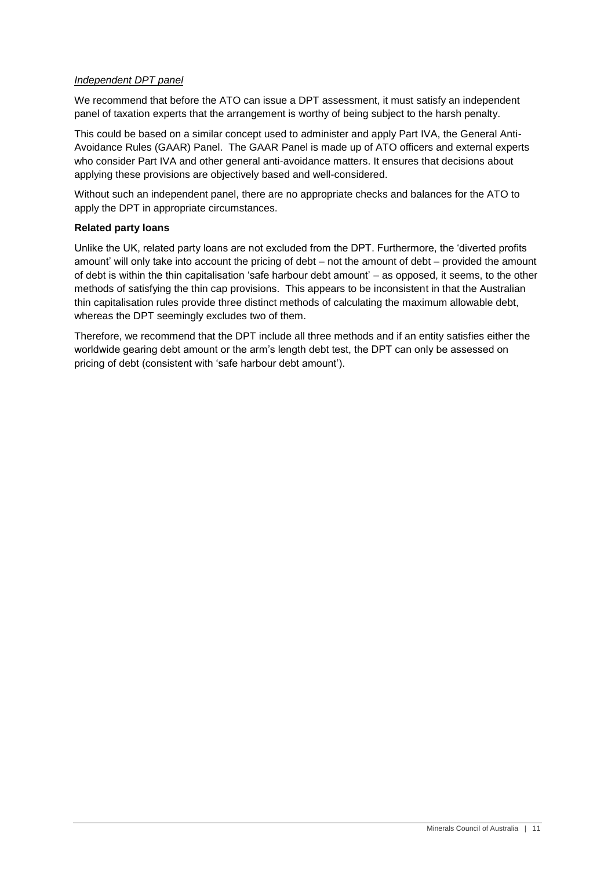#### *Independent DPT panel*

We recommend that before the ATO can issue a DPT assessment, it must satisfy an independent panel of taxation experts that the arrangement is worthy of being subject to the harsh penalty.

This could be based on a similar concept used to administer and apply Part IVA, the General Anti-Avoidance Rules (GAAR) Panel. The GAAR Panel is made up of ATO officers and external experts who consider Part IVA and other general anti-avoidance matters. It ensures that decisions about applying these provisions are objectively based and well-considered.

Without such an independent panel, there are no appropriate checks and balances for the ATO to apply the DPT in appropriate circumstances.

#### <span id="page-12-0"></span>**Related party loans**

Unlike the UK, related party loans are not excluded from the DPT. Furthermore, the 'diverted profits amount' will only take into account the pricing of debt – not the amount of debt – provided the amount of debt is within the thin capitalisation 'safe harbour debt amount' – as opposed, it seems, to the other methods of satisfying the thin cap provisions. This appears to be inconsistent in that the Australian thin capitalisation rules provide three distinct methods of calculating the maximum allowable debt, whereas the DPT seemingly excludes two of them.

Therefore, we recommend that the DPT include all three methods and if an entity satisfies either the worldwide gearing debt amount or the arm's length debt test, the DPT can only be assessed on pricing of debt (consistent with 'safe harbour debt amount').